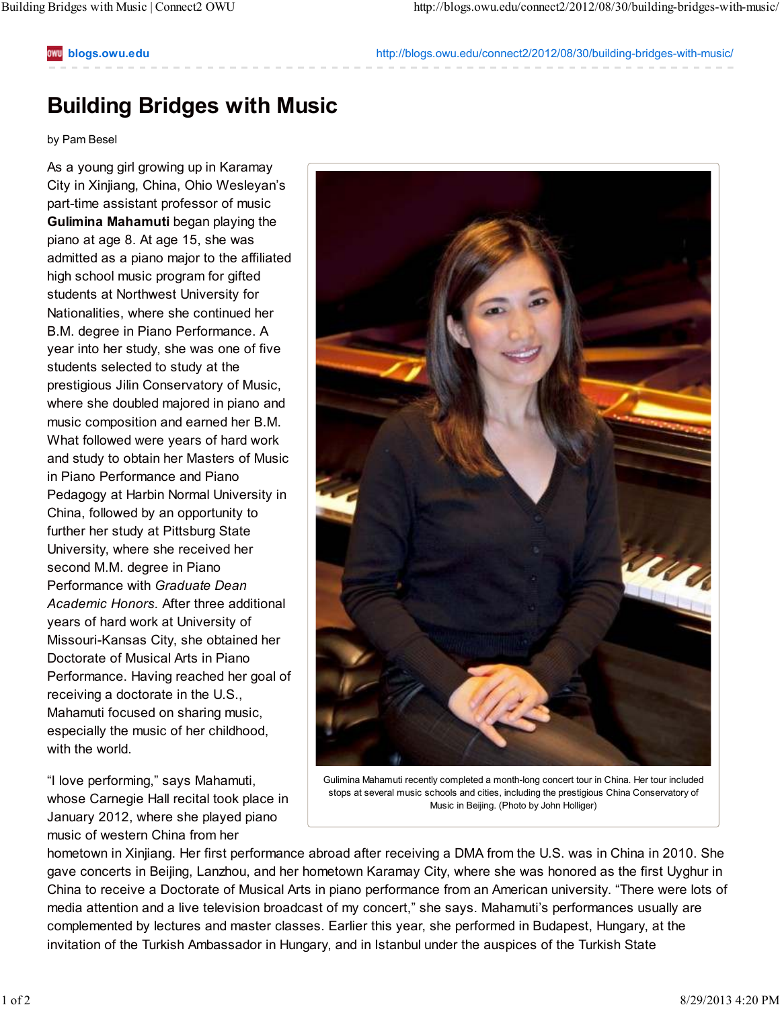## **blogs.owu.edu** http://blogs.owu.edu/connect2/2012/08/30/building-bridges-with-music/

## **Building Bridges with Music**

## by Pam Besel

As a young girl growing up in Karamay City in Xinjiang, China, Ohio Wesleyan's part-time assistant professor of music **Gulimina Mahamuti** began playing the piano at age 8. At age 15, she was admitted as a piano major to the affiliated high school music program for gifted students at Northwest University for Nationalities, where she continued her B.M. degree in Piano Performance. A year into her study, she was one of five students selected to study at the prestigious Jilin Conservatory of Music, where she doubled majored in piano and music composition and earned her B.M. What followed were years of hard work and study to obtain her Masters of Music in Piano Performance and Piano Pedagogy at Harbin Normal University in China, followed by an opportunity to further her study at Pittsburg State University, where she received her second M.M. degree in Piano Performance with *Graduate Dean Academic Honors.* After three additional years of hard work at University of Missouri-Kansas City, she obtained her Doctorate of Musical Arts in Piano Performance. Having reached her goal of receiving a doctorate in the U.S., Mahamuti focused on sharing music, especially the music of her childhood, with the world.

"I love performing," says Mahamuti, whose Carnegie Hall recital took place in January 2012, where she played piano music of western China from her



Gulimina Mahamuti recently completed a month-long concert tour in China. Her tour included stops at several music schools and cities, including the prestigious China Conservatory of Music in Beijing. (Photo by John Holliger)

hometown in Xinjiang. Her first performance abroad after receiving a DMA from the U.S. was in China in 2010. She gave concerts in Beijing, Lanzhou, and her hometown Karamay City, where she was honored as the first Uyghur in China to receive a Doctorate of Musical Arts in piano performance from an American university. "There were lots of media attention and a live television broadcast of my concert," she says. Mahamuti's performances usually are complemented by lectures and master classes. Earlier this year, she performed in Budapest, Hungary, at the invitation of the Turkish Ambassador in Hungary, and in Istanbul under the auspices of the Turkish State